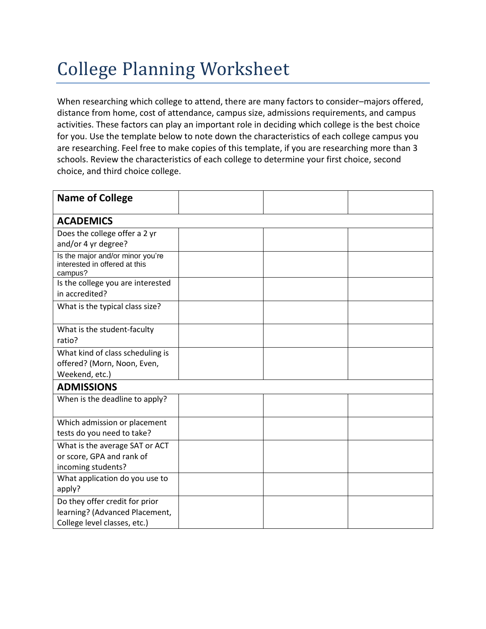## College Planning Worksheet

When researching which college to attend, there are many factors to consider–majors offered, distance from home, cost of attendance, campus size, admissions requirements, and campus activities. These factors can play an important role in deciding which college is the best choice for you. Use the template below to note down the characteristics of each college campus you are researching. Feel free to make copies of this template, if you are researching more than 3 schools. Review the characteristics of each college to determine your first choice, second choice, and third choice college.

| <b>Name of College</b>                                                                           |  |  |  |  |  |
|--------------------------------------------------------------------------------------------------|--|--|--|--|--|
| <b>ACADEMICS</b>                                                                                 |  |  |  |  |  |
| Does the college offer a 2 yr<br>and/or 4 yr degree?                                             |  |  |  |  |  |
| Is the major and/or minor you're<br>interested in offered at this<br>campus?                     |  |  |  |  |  |
| Is the college you are interested<br>in accredited?                                              |  |  |  |  |  |
| What is the typical class size?                                                                  |  |  |  |  |  |
| What is the student-faculty<br>ratio?                                                            |  |  |  |  |  |
| What kind of class scheduling is<br>offered? (Morn, Noon, Even,<br>Weekend, etc.)                |  |  |  |  |  |
| <b>ADMISSIONS</b>                                                                                |  |  |  |  |  |
| When is the deadline to apply?                                                                   |  |  |  |  |  |
| Which admission or placement<br>tests do you need to take?                                       |  |  |  |  |  |
| What is the average SAT or ACT<br>or score, GPA and rank of<br>incoming students?                |  |  |  |  |  |
| What application do you use to<br>apply?                                                         |  |  |  |  |  |
| Do they offer credit for prior<br>learning? (Advanced Placement,<br>College level classes, etc.) |  |  |  |  |  |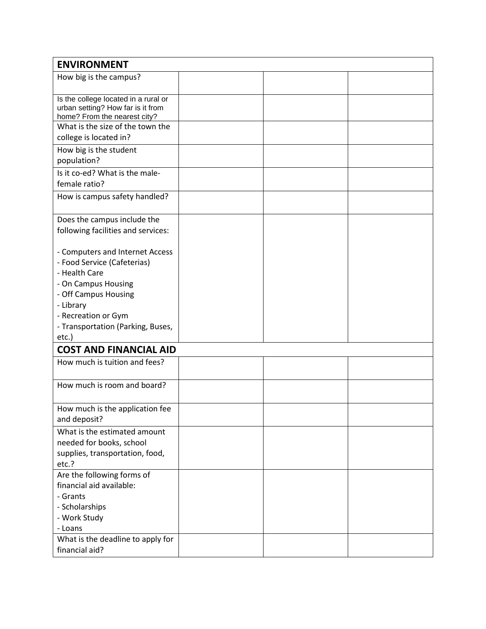| <b>ENVIRONMENT</b>                                                                                        |  |  |  |  |
|-----------------------------------------------------------------------------------------------------------|--|--|--|--|
| How big is the campus?                                                                                    |  |  |  |  |
| Is the college located in a rural or<br>urban setting? How far is it from<br>home? From the nearest city? |  |  |  |  |
| What is the size of the town the<br>college is located in?                                                |  |  |  |  |
| How big is the student<br>population?                                                                     |  |  |  |  |
| Is it co-ed? What is the male-<br>female ratio?                                                           |  |  |  |  |
| How is campus safety handled?                                                                             |  |  |  |  |
| Does the campus include the<br>following facilities and services:                                         |  |  |  |  |
| - Computers and Internet Access<br>- Food Service (Cafeterias)<br>- Health Care                           |  |  |  |  |
| - On Campus Housing<br>- Off Campus Housing<br>- Library<br>- Recreation or Gym                           |  |  |  |  |
| - Transportation (Parking, Buses,<br>etc.)                                                                |  |  |  |  |
| <b>COST AND FINANCIAL AID</b>                                                                             |  |  |  |  |
| How much is tuition and fees?                                                                             |  |  |  |  |
| How much is room and board?                                                                               |  |  |  |  |
| How much is the application fee<br>and deposit?                                                           |  |  |  |  |
| What is the estimated amount<br>needed for books, school<br>supplies, transportation, food,<br>etc.?      |  |  |  |  |
| Are the following forms of<br>financial aid available:<br>- Grants<br>- Scholarships<br>- Work Study      |  |  |  |  |
| - Loans<br>What is the deadline to apply for<br>financial aid?                                            |  |  |  |  |